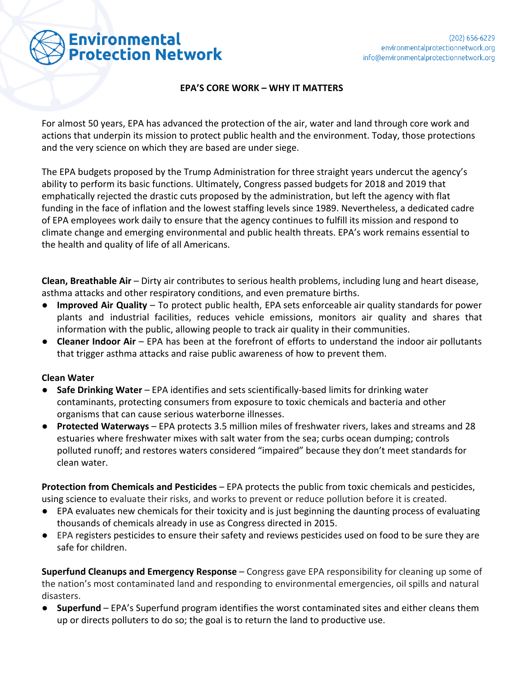

## **EPA'S CORE WORK – WHY IT MATTERS**

For almost 50 years, EPA has advanced the protection of the air, water and land through core work and actions that underpin its mission to protect public health and the environment. Today, those protections and the very science on which they are based are under siege.

The EPA budgets proposed by the Trump Administration for three straight years undercut the agency's ability to perform its basic functions. Ultimately, Congress passed budgets for 2018 and 2019 that emphatically rejected the drastic cuts proposed by the administration, but left the agency with flat funding in the face of inflation and the lowest staffing levels since 1989. Nevertheless, a dedicated cadre of EPA employees work daily to ensure that the agency continues to fulfill its mission and respond to climate change and emerging environmental and public health threats. EPA's work remains essential to the health and quality of life of all Americans.

**Clean, Breathable Air** – Dirty air contributes to serious health problems, including lung and heart disease, asthma attacks and other respiratory conditions, and even premature births.

- **Improved Air Quality** To protect public health, EPA sets enforceable air quality standards for power plants and industrial facilities, reduces vehicle emissions, monitors air quality and shares that information with the public, allowing people to track air quality in their communities.
- **Cleaner Indoor Air** EPA has been at the forefront of efforts to understand the indoor air pollutants that trigger asthma attacks and raise public awareness of how to prevent them.

## **Clean Water**

- **Safe Drinking Water** EPA identifies and sets scientifically-based limits for drinking water contaminants, protecting consumers from exposure to toxic chemicals and bacteria and other organisms that can cause serious waterborne illnesses.
- **Protected Waterways**  EPA protects 3.5 million miles of freshwater rivers, lakes and streams and 28 estuaries where freshwater mixes with salt water from the sea; curbs ocean dumping; controls polluted runoff; and restores waters considered "impaired" because they don't meet standards for clean water.

**Protection from Chemicals and Pesticides** – EPA protects the public from toxic chemicals and pesticides, using science to evaluate their risks, and works to prevent or reduce pollution before it is created.

- EPA evaluates new chemicals for their toxicity and is just beginning the daunting process of evaluating thousands of chemicals already in use as Congress directed in 2015.
- EPA registers pesticides to ensure their safety and reviews pesticides used on food to be sure they are safe for children.

**Superfund Cleanups and Emergency Response** – Congress gave EPA responsibility for cleaning up some of the nation's most contaminated land and responding to environmental emergencies, oil spills and natural disasters.

**● Superfund** – EPA's Superfund program identifies the worst contaminated sites and either cleans them up or directs polluters to do so; the goal is to return the land to productive use.